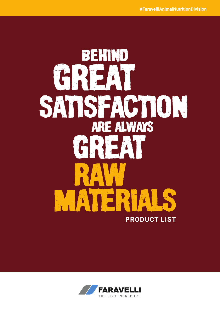# RAW MATERIALS SATISFACTION **PRODUCT LIST**  BEHIND RE GREAT ARE ALWAYS